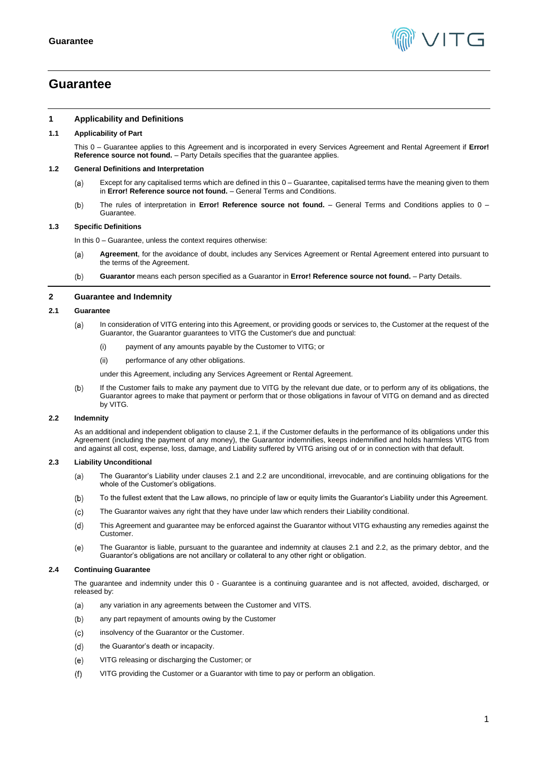

# <span id="page-0-0"></span>**Guarantee**

## **1 Applicability and Definitions**

# **1.1 Applicability of Part**

This [0](#page-0-0) – Guarantee applies to this Agreement and is incorporated in every Services Agreement and Rental Agreement if **Error! Reference source not found.** – Party Details specifies that the guarantee applies.

#### **1.2 General Definitions and Interpretation**

- Except for any capitalised terms which are defined in this [0](#page-0-0) Guarantee, capitalised terms have the meaning given to them  $(a)$ in **Error! Reference source not found.** – General Terms and Conditions.
- $(b)$ The rules of interpretation in **Error! Reference source not found.** – General Terms and Conditions applies to [0](#page-0-0) – Guarantee.

## **1.3 Specific Definitions**

In this [0](#page-0-0) – Guarantee, unless the context requires otherwise:

- **Agreement**, for the avoidance of doubt, includes any Services Agreement or Rental Agreement entered into pursuant to (a) the terms of the Agreement.
- $(b)$ **Guarantor** means each person specified as a Guarantor in **Error! Reference source not found.** – Party Details.

#### **2 Guarantee and Indemnity**

#### <span id="page-0-1"></span>**2.1 Guarantee**

- In consideration of VITG entering into this Agreement, or providing goods or services to, the Customer at the request of the  $(a)$ Guarantor, the Guarantor guarantees to VITG the Customer's due and punctual:
	- (i) payment of any amounts payable by the Customer to VITG; or
	- (ii) performance of any other obligations.

under this Agreement, including any Services Agreement or Rental Agreement.

If the Customer fails to make any payment due to VITG by the relevant due date, or to perform any of its obligations, the  $(b)$ Guarantor agrees to make that payment or perform that or those obligations in favour of VITG on demand and as directed by VITG.

#### <span id="page-0-2"></span>**2.2 Indemnity**

As an additional and independent obligation to claus[e 2.1,](#page-0-1) if the Customer defaults in the performance of its obligations under this Agreement (including the payment of any money), the Guarantor indemnifies, keeps indemnified and holds harmless VITG from and against all cost, expense, loss, damage, and Liability suffered by VITG arising out of or in connection with that default.

#### **2.3 Liability Unconditional**

- $(a)$ The Guarantor's Liability under clauses [2.1](#page-0-1) and [2.2](#page-0-2) are unconditional, irrevocable, and are continuing obligations for the whole of the Customer's obligations.
- $(b)$ To the fullest extent that the Law allows, no principle of law or equity limits the Guarantor's Liability under this Agreement.
- $(c)$ The Guarantor waives any right that they have under law which renders their Liability conditional.
- $(d)$ This Agreement and guarantee may be enforced against the Guarantor without VITG exhausting any remedies against the Customer.
- $(e)$ The Guarantor is liable, pursuant to the guarantee and indemnity at clauses [2.1](#page-0-1) and [2.2,](#page-0-2) as the primary debtor, and the Guarantor's obligations are not ancillary or collateral to any other right or obligation.

#### **2.4 Continuing Guarantee**

The guarantee and indemnity under this [0](#page-0-0) - Guarantee is a continuing guarantee and is not affected, avoided, discharged, or released by:

- $(a)$ any variation in any agreements between the Customer and VITS.
- $(b)$ any part repayment of amounts owing by the Customer
- $(c)$ insolvency of the Guarantor or the Customer.
- $(d)$ the Guarantor's death or incapacity.
- VITG releasing or discharging the Customer; or  $(e)$
- VITG providing the Customer or a Guarantor with time to pay or perform an obligation. $(f)$